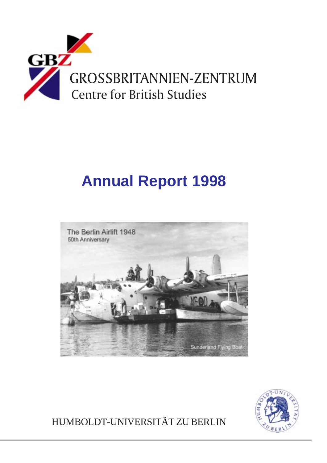

# **Annual Report 1998**





HUMBOLDT-UNIVERSITÄT ZU BERLIN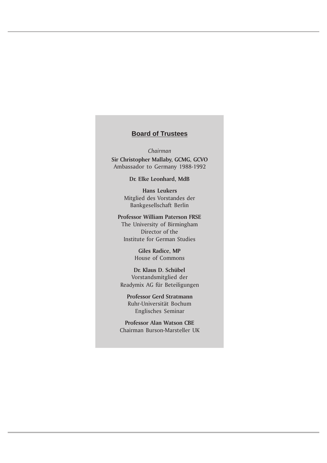## **Board of Trustees**

Chairman Sir Christopher Mallaby, GCMG, GCVO Ambassador to Germany 1988-1992

Dr. Elke Leonhard, MdB

Hans Leukers Mitglied des Vorstandes der Bankgesellschaft Berlin

Professor William Paterson FRSE The University of Birmingham Director of the Institute for German Studies

> Giles Radice, MP House of Commons

Dr. Klaus D. Schübel Vorstandsmitglied der Readymix AG für Beteiligungen

Professor Gerd Stratmann Ruhr-Universität Bochum Englisches Seminar

Professor Alan Watson CBE Chairman Burson-Marsteller UK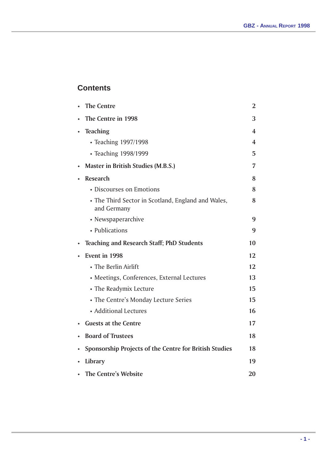# **Contents**

| <b>The Centre</b>                                                 | $\overline{2}$ |
|-------------------------------------------------------------------|----------------|
| The Centre in 1998                                                | 3              |
| <b>Teaching</b>                                                   | 4              |
| • Teaching 1997/1998                                              | 4              |
| • Teaching 1998/1999                                              | 5              |
| <b>Master in British Studies (M.B.S.)</b>                         | 7              |
| <b>Research</b>                                                   | 8              |
| • Discourses on Emotions                                          | 8              |
| • The Third Sector in Scotland, England and Wales,<br>and Germany | 8              |
| • Newspaperarchive                                                | 9              |
| • Publications                                                    | 9              |
| <b>Teaching and Research Staff; PhD Students</b>                  | 10             |
| Event in 1998                                                     | 12             |
| • The Berlin Airlift                                              | 12             |
| • Meetings, Conferences, External Lectures                        | 13             |
| • The Readymix Lecture                                            | 15             |
| • The Centre's Monday Lecture Series                              | 15             |
| • Additional Lectures                                             | 16             |
| <b>Guests at the Centre</b>                                       | 17             |
| <b>Board of Trustees</b>                                          | 18             |
| Sponsorship Projects of the Centre for British Studies            | 18             |
| Library                                                           | 19             |
| <b>The Centre's Website</b>                                       | 20             |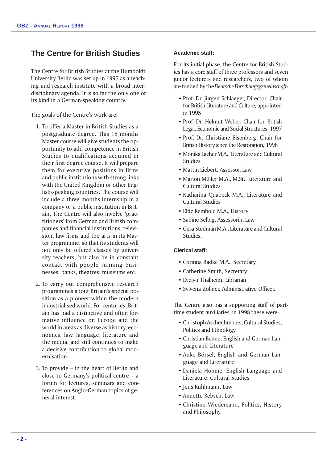# **The Centre for British Studies**

The Centre for British Studies at the Humboldt University Berlin was set up in 1995 as a teaching and research institute with a broad interdisciplinary agenda. It is so far the only one of its kind in a German-speaking country.

The goals of the Centre's work are:

- 1. To offer a Master in British Studies as a postgraduate degree. This 18 months Master course will give students the opportunity to add competence in British Studies to qualifications acquired in their first degree course. It will prepare them for executive positions in firms and public institutions with strong links with the United Kingdom or other English-speaking countries. The course will include a three months internship in a company or a public institution in Britain. The Centre will also involve 'practitioners' from German and British companies and financial institutions, television, law firms and the arts in its Master programme, so that its students will not only be offered classes by university teachers, but also be in constant contact with people running businesses, banks, theatres, museums etc.
- 2. To carry out comprehensive research programmes about Britain's special position as a pioneer within the modern industrialised world. For centuries, Britain has had a distinctive and often formative influence on Europe and the world in areas as diverse as history, economics, law, language, literature and the media, and still continues to make a decisive contribution to global modernisation.
- 3. To provide  $-$  in the heart of Berlin and close to Germany's political centre  $-$  a forum for lectures, seminars and conferences on Anglo-German topics of general interest.

## **Academic staff:**

For its initial phase, the Centre for British Studies has a core staff of three professors and seven junior lecturers and researchers, two of whom are funded by the Deutsche Forschungsgemeinschaft:

- \* Prof. Dr. Jürgen Schlaeger, Director, Chair for British Literature and Culture, appointed in 1995
- Prof. Dr. Helmut Weber, Chair for British Legal, Economic and Social Structures, 1997
- w Prof. Dr. Christiane Eisenberg, Chair for British History since the Restoration, 1998
- w Monika Lacher M.A., Literature and Cultural Studies
- Martin Liebert, Assessor, Law
- Marion Müller M.A., M.St., Literature and Cultural Studies
- Katharina Ouabeck M.A., Literature and Cultural Studies
- Elfie Rembold M.A., History
- w Sabine Selbig, Assessorin, Law
- Gesa Stedman M.A., Literature and Cultural Studies.

## **Clerical staff:**

- Corinna Radke M.A., Secretary
- Catherine Smith, Secretary
- $\bullet$  Evelyn Thalheim, Librarian
- Sylvena Zöllner, Administrative Officer.

The Centre also has a supporting staff of parttime student auxiliaries; in 1998 these were:

- w Christoph Aschenbrenner, Cultural Studies, Politics and Ethnology
- Christian Benne, English and German Language and Literature
- \* Anke Börsel, English and German Language and Literature
- $\bullet$  Daniela Hohme, English Language and Literature, Cultural Studies
- Jens Kuhlmann, Law
- w Annette Rebsch, Law
- **\* Christine Wiedemann, Politics, History** and Philosophy.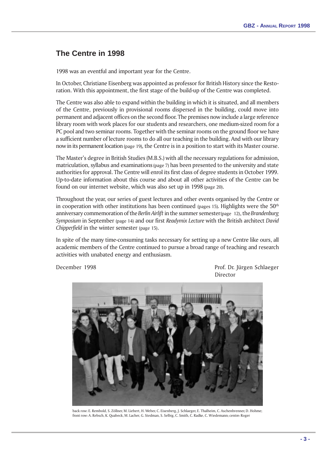# **The Centre in 1998**

1998 was an eventful and important year for the Centre.

In October, Christiane Eisenberg was appointed as professor for British History since the Restoration. With this appointment, the first stage of the build-up of the Centre was completed.

The Centre was also able to expand within the building in which it is situated, and all members of the Centre, previously in provisional rooms dispersed in the building, could move into permanent and adjacent offices on the second floor. The premises now include a large reference library room with work places for our students and researchers, one medium-sized room for a PC pool and two seminar rooms. Together with the seminar rooms on the ground floor we have a sufficient number of lecture rooms to do all our teaching in the building. And with our library now in its permanent location (page 19), the Centre is in a position to start with its Master course.

The Master's degree in British Studies (M.B.S.) with all the necessary regulations for admission, matriculation, syllabus and examinations (page 7) has been presented to the university and state authorities for approval. The Centre will enrol its first class of degree students in October 1999. Up-to-date information about this course and about all other activities of the Centre can be found on our internet website, which was also set up in 1998 (page 20).

Throughout the year, our series of guest lectures and other events organised by the Centre or in cooperation with other institutions has been continued (pages 15). Highlights were the  $50<sup>th</sup>$ anniversary commemoration of the Berlin Airlift in the summer semester (page 12), the Brandenburg Symposium in September (page 14) and our first Readymix Lecture with the British architect David Chipperfield in the winter semester (page 15).

In spite of the many time-consuming tasks necessary for setting up a new Centre like ours, all academic members of the Centre continued to pursue a broad range of teaching and research activities with unabated energy and enthusiasm.

December 1998 **Prof. Dr. Jürgen Schlaeger** Director



back row: E. Rembold, S. Zöllner, M. Liebert, H. Weber, C. Eisenberg, J. Schlaeger, E. Thalheim, C. Aschenbrenner, D. Hohme; front row: A. Rebsch, K. Quabeck, M. Lacher, G. Stedman, S. Selbig, C. Smith, C. Radke, C. Wiedemann; centre: Roger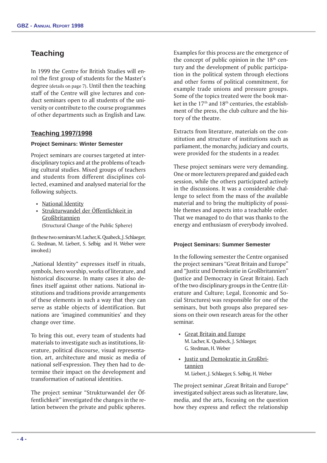# **Teaching**

In 1999 the Centre for British Studies will enrol the first group of students for the Master's degree (details on page 7). Until then the teaching staff of the Centre will give lectures and conduct seminars open to all students of the university or contribute to the course programmes of other departments such as English and Law.

## **Teaching 1997/1998**

## **Project Seminars: Winter Semester**

Project seminars are courses targeted at interdisciplinary topics and at the problems of teaching cultural studies. Mixed groups of teachers and students from different disciplines collected, examined and analysed material for the following subjects.

- National Identity
- w Strukturwandel der Öffentlichkeit in Großbritannien (Structural Change of the Public Sphere)

(In these two seminars M. Lacher, K. Quabeck, J. Schlaeger, G. Stedman, M. Liebert, S. Selbig and H. Weber were involved.)

"National Identity" expresses itself in rituals, symbols, hero worship, works of literature, and historical discourse. In many cases it also defines itself against other nations. National institutions and traditions provide arrangements of these elements in such a way that they can serve as stable objects of identification. But nations are 'imagined communities' and they change over time.

To bring this out, every team of students had materials to investigate such as institutions, literature, political discourse, visual representation, art, architecture and music as media of national self-expression. They then had to determine their impact on the development and transformation of national identities.

The project seminar "Strukturwandel der Öffentlichkeit" investigated the changes in the relation between the private and public spheres. Examples for this process are the emergence of the concept of public opinion in the 18th century and the development of public participation in the political system through elections and other forms of political commitment, for example trade unions and pressure groups. Some of the topics treated were the book market in the  $17<sup>th</sup>$  and  $18<sup>th</sup>$  centuries, the establishment of the press, the club culture and the history of the theatre.

Extracts from literature, materials on the constitution and structure of institutions such as parliament, the monarchy, judiciary and courts, were provided for the students in a reader.

These project seminars were very demanding. One or more lecturers prepared and guided each session, while the others participated actively in the discussions. It was a considerable challenge to select from the mass of the available material and to bring the multiplicity of possible themes and aspects into a teachable order. That we managed to do that was thanks to the energy and enthusiasm of everybody involved.

#### **Project Seminars: Summer Semester**

In the following semester the Centre organised the project seminars "Great Britain and Europe" and "Justiz und Demokratie in Großbritannien" (Justice and Democracy in Great Britain). Each of the two disciplinary groups in the Centre (Literature and Culture; Legal, Economic and Social Structures) was responsible for one of the seminars, but both groups also prepared sessions on their own research areas for the other seminar.

- Great Britain and Europe M. Lacher, K. Quabeck, J. Schlaeger, G. Stedman, H. Weber
- $\cdot$  Justiz und Demokratie in Großbritannien M. Liebert, J. Schlaeger, S. Selbig, H. Weber

The project seminar "Great Britain and Europe" investigated subject areas such as literature, law, media, and the arts, focusing on the question how they express and reflect the relationship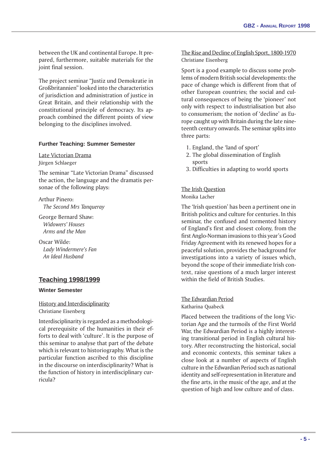between the UK and continental Europe. It prepared, furthermore, suitable materials for the joint final session.

The project seminar "Justiz und Demokratie in Großbritannien" looked into the characteristics of jurisdiction and administration of justice in Great Britain, and their relationship with the constitutional principle of democracy. Its approach combined the different points of view belonging to the disciplines involved.

## **Further Teaching: Summer Semester**

Late Victorian Drama Jürgen Schlaeger

The seminar "Late Victorian Drama" discussed the action, the language and the dramatis personae of the following plays:

Arthur Pinero: The Second Mrs Tanqueray

George Bernard Shaw: Widowers' Houses Arms and the Man

Oscar Wilde: Lady Windermere's Fan An Ideal Husband

## **Teaching 1998/1999**

#### **Winter Semester**

History and Interdisciplinarity Christiane Eisenberg

Interdisciplinarity is regarded as a methodological prerequisite of the humanities in their efforts to deal with 'culture'. It is the purpose of this seminar to analyse that part of the debate which is relevant to historiography. What is the particular function ascribed to this discipline in the discourse on interdisciplinarity? What is the function of history in interdisciplinary curricula?

The Rise and Decline of English Sport, 1800-1970 Christiane Eisenberg

Sport is a good example to discuss some problems of modern British social developments: the pace of change which is different from that of other European countries; the social and cultural consequences of being the 'pioneer' not only with respect to industrialisation but also to consumerism; the notion of 'decline' as Europe caught up with Britain during the late nineteenth century onwards. The seminar splits into three parts:

- 1. England, the 'land of sport'
- 2. The global dissemination of English sports
- 3. Difficulties in adapting to world sports

# The Irish Question

## Monika Lacher

The 'Irish question' has been a pertinent one in British politics and culture for centuries. In this seminar, the confused and tormented history of England's first and closest colony, from the first Anglo-Norman invasions to this year's Good Friday Agreement with its renewed hopes for a peaceful solution, provides the background for investigations into a variety of issues which, beyond the scope of their immediate Irish context, raise questions of a much larger interest within the field of British Studies.

The Edwardian Period

Katharina Quabeck

Placed between the traditions of the long Victorian Age and the turmoils of the First World War, the Edwardian Period is a highly interesting transitional period in English cultural history. After reconstructing the historical, social and economic contexts, this seminar takes a close look at a number of aspects of English culture in the Edwardian Period such as national identity and self-representation in literature and the fine arts, in the music of the age, and at the question of high and low culture and of class.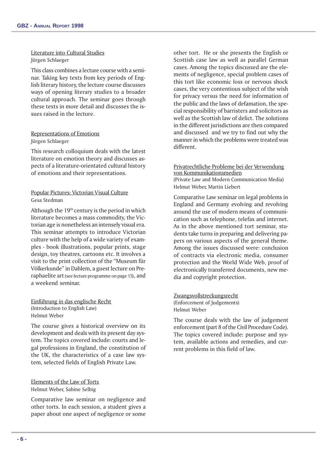Literature into Cultural Studies Jürgen Schlaeger

This class combines a lecture course with a seminar. Taking key texts from key periods of English literary history, the lecture course discusses ways of opening literary studies to a broader cultural approach. The seminar goes through these texts in more detail and discusses the issues raised in the lecture.

## Representations of Emotions Jürgen Schlaeger

This research colloquium deals with the latest literature on emotion theory and discusses aspects of a literature-orientated cultural history of emotions and their representations.

## Popular Pictures: Victorian Visual Culture Gesa Stedman

Although the  $19<sup>th</sup>$  century is the period in which literature becomes a mass commodity, the Victorian age is nonetheless an intensely visual era. This seminar attempts to introduce Victorian culture with the help of a wide variety of examples - book illustrations, popular prints, stage design, toy theatres, cartoons etc. It involves a visit to the print collection of the "Museum für Völkerkunde" in Dahlem, a guest lecture on Preraphaelite art (see lecture programme on page 15), and a weekend seminar.

Einführung in das englische Recht (Introduction to English Law) Helmut Weber

The course gives a historical overview on its development and deals with its present day system. The topics covered include: courts and legal professions in England, the constitution of the UK, the characteristics of a case law system, selected fields of English Private Law.

## Elements of the Law of Torts Helmut Weber, Sabine Selbig

Comparative law seminar on negligence and other torts. In each session, a student gives a paper about one aspect of negligence or some other tort. He or she presents the English or Scottish case law as well as parallel German cases. Among the topics discussed are the elements of negligence, special problem cases of this tort like economic loss or nervous shock cases, the very contentious subject of the wish for privacy versus the need for information of the public and the laws of defamation, the special responsibility of barristers and solicitors as well as the Scottish law of delict. The solutions in the different jurisdictions are then compared and discussed and we try to find out why the manner in which the problems were treated was different.

## Privatrechtliche Probleme bei der Verwendung von Kommunikationsmedien (Private Law and Modern Communication Media) Helmut Weber, Martin Liebert

Comparative Law seminar on legal problems in England and Germany evolving and revolving around the use of modern means of communication such as telephone, telefax and internet. As in the above mentioned tort seminar, students take turns in preparing and delivering papers on various aspects of the general theme. Among the issues discussed were: conclusion of contracts via electronic media, consumer protection and the World Wide Web, proof of electronically transferred documents, new media and copyright protection.

Zwangsvollstreckungsrecht (Enforcement of Judgements) Helmut Weber

The course deals with the law of judgement enforcement (part 8 of the Civil Procedure Code). The topics covered include: purpose and system, available actions and remedies, and current problems in this field of law.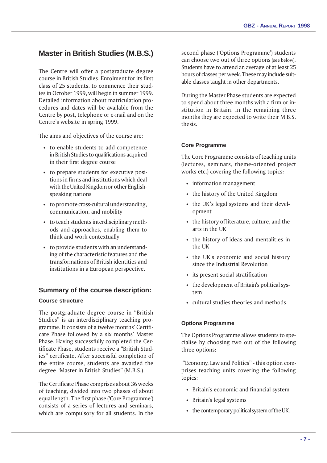# **Master in British Studies (M.B.S.)**

The Centre will offer a postgraduate degree course in British Studies. Enrolment for its first class of 25 students, to commence their studies in October 1999, will begin in summer 1999. Detailed information about matriculation procedures and dates will be available from the Centre by post, telephone or e-mail and on the Centre's website in spring 1999.

The aims and objectives of the course are:

- to enable students to add competence in British Studies to qualifications acquired in their first degree course
- $\cdot$  to prepare students for executive positions in firms and institutions which deal with the United Kingdom or other Englishspeaking nations
- to promote cross-cultural understanding, communication, and mobility
- $\cdot$  to teach students interdisciplinary methods and approaches, enabling them to think and work contextually
- $\cdot$  to provide students with an understanding of the characteristic features and the transformations of British identities and institutions in a European perspective.

## **Summary of the course description:**

## **Course structure**

The postgraduate degree course in "British" Studies" is an interdisciplinary teaching programme. It consists of a twelve months' Certificate Phase followed by a six months' Master Phase. Having successfully completed the Certificate Phase, students receive a "British Studies" certificate. After successful completion of the entire course, students are awarded the degree "Master in British Studies" (M.B.S.).

The Certificate Phase comprises about 36 weeks of teaching, divided into two phases of about equal length. The first phase ('Core Programme') consists of a series of lectures and seminars, which are compulsory for all students. In the

second phase ('Options Programme') students can choose two out of three options (see below). Students have to attend an average of at least 25 hours of classes per week. These may include suitable classes taught in other departments.

During the Master Phase students are expected to spend about three months with a firm or institution in Britain. In the remaining three months they are expected to write their M.B.S. thesis.

#### **Core Programme**

The Core Programme consists of teaching units (lectures, seminars, theme-oriented project works etc.) covering the following topics:

- $\cdot$  information management
- $\cdot$  the history of the United Kingdom
- $\cdot$  the UK's legal systems and their development
- the history of literature, culture, and the arts in the UK
- the history of ideas and mentalities in the UK
- $\cdot$  the UK's economic and social history since the Industrial Revolution
- $\cdot$  its present social stratification
- $\cdot$  the development of Britain's political system
- $\cdot$  cultural studies theories and methods.

## **Options Programme**

The Options Programme allows students to specialise by choosing two out of the following three options:

"Economy, Law and Politics" - this option comprises teaching units covering the following topics:

- Britain's economic and financial system
- Britain's legal systems
- $\cdot$  the contemporary political system of the UK.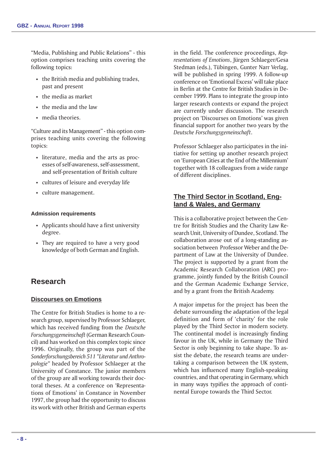"Media, Publishing and Public Relations" - this option comprises teaching units covering the following topics:

- $\cdot$  the British media and publishing trades, past and present
- $\cdot$  the media as market
- $\cdot$  the media and the law
- $\cdot$  media theories.

"Culture and its Management" - this option comprises teaching units covering the following topics:

- $\cdot$  literature, media and the arts as processes of self-awareness, self-assessment, and self-presentation of British culture
- cultures of leisure and everyday life
- culture management.

## **Admission requirements**

- Applicants should have a first university degree.
- They are required to have a very good knowledge of both German and English.

# **Research**

## **Discourses on Emotions**

The Centre for British Studies is home to a research group, supervised by Professor Schlaeger, which has received funding from the Deutsche Forschungsgemeinschaft (German Research Council) and has worked on this complex topic since 1996. Originally, the group was part of the Sonderforschungsbereich 511 "Literatur und Anthropologie" headed by Professor Schlaeger at the University of Constance. The junior members of the group are all working towards their doctoral theses. At a conference on 'Representations of Emotions' in Constance in November 1997, the group had the opportunity to discuss its work with other British and German experts in the field. The conference proceedings, Representations of Emotions, Jürgen Schlaeger/Gesa Stedman (eds.), Tübingen, Gunter Narr Verlag, will be published in spring 1999. A follow-up conference on 'Emotional Excess' will take place in Berlin at the Centre for British Studies in December 1999. Plans to integrate the group into larger research contexts or expand the project are currently under discussion. The research project on 'Discourses on Emotions' was given financial support for another two years by the Deutsche Forschungsgemeinschaft.

Professor Schlaeger also participates in the initiative for setting up another research project on European Cities at the End of the Millennium together with 18 colleagues from a wide range of different disciplines.

## **The Third Sector in Scotland, England & Wales, and Germany**

This is a collaborative project between the Centre for British Studies and the Charity Law Research Unit, University of Dundee, Scotland. The collaboration arose out of a long-standing association between Professor Weber and the Department of Law at the University of Dundee. The project is supported by a grant from the Academic Research Collaboration (ARC) programme, jointly funded by the British Council and the German Academic Exchange Service, and by a grant from the British Academy.

A major impetus for the project has been the debate surrounding the adaptation of the legal definition and form of 'charity' for the role played by the Third Sector in modern society. The continental model is increasingly finding favour in the UK, while in Germany the Third Sector is only beginning to take shape. To assist the debate, the research teams are undertaking a comparison between the UK system, which has influenced many English-speaking countries, and that operating in Germany, which in many ways typifies the approach of continental Europe towards the Third Sector.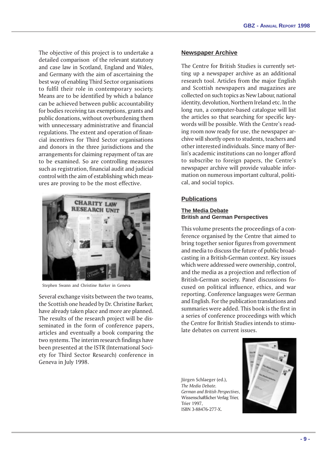The objective of this project is to undertake a detailed comparison of the relevant statutory and case law in Scotland, England and Wales, and Germany with the aim of ascertaining the best way of enabling Third Sector organisations to fulfil their role in contemporary society. Means are to be identified by which a balance can be achieved between public accountability for bodies receiving tax exemptions, grants and public donations, without overburdening them with unnecessary administrative and financial regulations. The extent and operation of financial incentives for Third Sector organisations and donors in the three jurisdictions and the arrangements for claiming repayment of tax are to be examined. So are controlling measures such as registration, financial audit and judicial control with the aim of establishing which measures are proving to be the most effective.



Stephen Swann and Christine Barker in Geneva

Several exchange visits between the two teams, the Scottish one headed by Dr. Christine Barker, have already taken place and more are planned. The results of the research project will be disseminated in the form of conference papers, articles and eventually a book comparing the two systems. The interim research findings have been presented at the ISTR (International Society for Third Sector Research) conference in Geneva in July 1998.

## **Newspaper Archive**

The Centre for British Studies is currently setting up a newspaper archive as an additional research tool. Articles from the major English and Scottish newspapers and magazines are collected on such topics as New Labour, national identity, devolution, Northern Ireland etc. In the long run, a computer-based catalogue will list the articles so that searching for specific keywords will be possible. With the Centre's reading room now ready for use, the newspaper archive will shortly open to students, teachers and other interested individuals. Since many of Berlin's academic institutions can no longer afford to subscribe to foreign papers, the Centre's newspaper archive will provide valuable information on numerous important cultural, political, and social topics.

#### **Publications**

## **The Media Debate British and German Perspectives**

This volume presents the proceedings of a conference organised by the Centre that aimed to bring together senior figures from government and media to discuss the future of public broadcasting in a British-German context. Key issues which were addressed were ownership, control, and the media as a projection and reflection of British-German society. Panel discussions focused on political influence, ethics, and war reporting. Conference languages were German and English. For the publication translations and summaries were added. This book is the first in a series of conference proceedings with which the Centre for British Studies intends to stimulate debates on current issues.

Jürgen Schlaeger (ed.), The Media Debate. German and British Perspectives, Wissenschaftlicher Verlag Trier, Trier 1997, ISBN 3-88476-277-X.

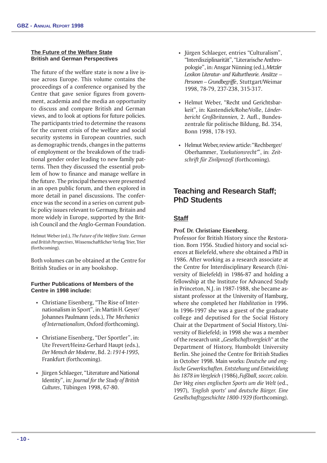#### **The Future of the Welfare State British and German Perspectives**

The future of the welfare state is now a live issue across Europe. This volume contains the proceedings of a conference organised by the Centre that gave senior figures from government, academia and the media an opportunity to discuss and compare British and German views, and to look at options for future policies. The participants tried to determine the reasons for the current crisis of the welfare and social security systems in European countries, such as demographic trends, changes in the patterns of employment or the breakdown of the traditional gender order leading to new family patterns. Then they discussed the essential problem of how to finance and manage welfare in the future. The principal themes were presented in an open public forum, and then explored in more detail in panel discussions. The conference was the second in a series on current public policy issues relevant to Germany, Britain and more widely in Europe, supported by the British Council and the Anglo-German Foundation.

Helmut Weber (ed.), The Future of the Welfare State. German and British Perspectives, Wissenschaftlicher Verlag Trier, Trier (forthcoming).

Both volumes can be obtained at the Centre for British Studies or in any bookshop.

## **Further Publications of Members of the Centre in 1998 include:**

- Christiane Eisenberg, "The Rise of Internationalism in Sport", in: Martin H. Geyer/ Johannes Paulmann (eds.), The Mechanics of Internationalism, Oxford (forthcoming).
- Christiane Eisenberg, "Der Sportler", in: Ute Frevert/Heinz-Gerhard Haupt (eds.), Der Mensch der Moderne, Bd. 2: 1914-1995, Frankfurt (forthcoming).
- Jürgen Schlaeger, "Literature and National Identity", in: Journal for the Study of British Cultures, Tübingen 1998, 67-80.
- Jürgen Schlaeger, entries "Culturalism", "Interdisziplinarität", "Literarische Anthropologie, in: Ansgar Nünning (ed.), Metzler Lexikon Literatur- und Kulturtheorie. Ansätze Personen – Grundbegriffe, Stuttgart/Weimar 1998, 78-79, 237-238, 315-317.
- Helmut Weber, "Recht und Gerichtsbarkeit", in: Kastendiek/Rohe/Volle, Länderbericht Großbritannien, 2. Aufl., Bundeszentrale für politische Bildung, Bd. 354, Bonn 1998, 178-193.
- Helmut Weber, review article: "Rechberger/ Oberhammer, 'Exekutionsrecht"', in: Zeitschrift für Zivilprozeß (forthcoming).

# **Teaching and Research Staff; PhD Students**

## **Staff**

## Prof. Dr. Christiane Eisenberg.

Professor for British History since the Restoration. Born 1956. Studied history and social sciences at Bielefeld, where she obtained a PhD in 1986. After working as a research associate at the Centre for Interdisciplinary Research (University of Bielefeld) in 1986-87 and holding a fellowship at the Institute for Advanced Study in Princeton, N.J. in 1987-1988, she became assistant professor at the University of Hamburg, where she completed her Habilitation in 1996. In 1996-1997 she was a guest of the graduate college and deputised for the Social History Chair at the Department of Social History, University of Bielefeld; in 1998 she was a member of the research unit "Gesellschaftsvergleich" at the Department of History, Humboldt University Berlin. She joined the Centre for British Studies in October 1998. Main works: Deutsche und englische Gewerkschaften. Entstehung und Entwicklung bis 1878 im Vergleich (1986), Fußball, soccer, calcio. Der Weg eines englischen Sports um die Welt (ed., 1997), 'English sports' und deutsche Bürger. Eine Gesellschaftsgeschichte 1800-1939 (forthcoming).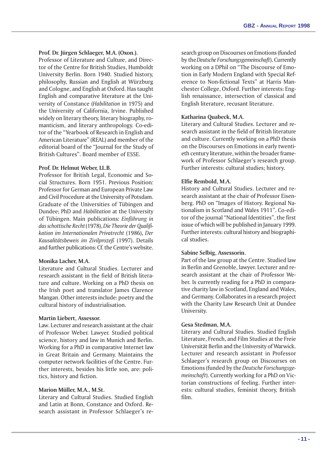## Prof. Dr. Jürgen Schlaeger, M.A. (Oxon.).

Professor of Literature and Culture, and Director of the Centre for British Studies, Humboldt University Berlin. Born 1940. Studied history, philosophy, Russian and English at Würzburg and Cologne, and English at Oxford. Has taught English and comparative literature at the University of Constance (Habilitation in 1975) and the University of California, Irvine. Published widely on literary theory, literary biography, romanticism, and literary anthropology. Co-editor of the Yearbook of Research in English and American Literature" (REAL) and member of the editorial board of the "Journal for the Study of British Cultures". Board member of ESSE.

#### Prof. Dr. Helmut Weber, LL.B.

Professor for British Legal, Economic and Social Structures. Born 1951. Previous Position: Professor for German and European Private Law and Civil Procedure at the University of Potsdam. Graduate of the Universities of Tübingen and Dundee; PhD and Habilitation at the University of Tübingen. Main publications: Einführung in das schottische Recht (1978), Die Theorie der Qualifikation im Internationalen Privatrecht (1986), Der Kausalitätsbeweis im Zivilprozeß (1997). Details and further publications: Cf. the Centre's website.

## Monika Lacher, M.A.

Literature and Cultural Studies. Lecturer and research assistant in the field of British literature and culture. Working on a PhD thesis on the Irish poet and translator James Clarence Mangan. Other interests include: poetry and the cultural history of industrialisation.

#### Martin Liebert, Assessor.

Law. Lecturer and research assistant at the chair of Professor Weber. Lawyer. Studied political science, history and law in Munich and Berlin. Working for a PhD in comparative Internet law in Great Britain and Germany. Maintains the computer network facilities of the Centre. Further interests, besides his little son, are: politics, history and fiction.

## Marion Müller, M.A., M.St.

Literary and Cultural Studies. Studied English and Latin at Bonn, Constance and Oxford. Research assistant in Professor Schlaeger's research group on Discourses on Emotions (funded by the Deutsche Forschungsgemeinschaft). Currently working on a DPhil on "The Discourse of Emotion in Early Modern England with Special Reference to Non-fictional Texts" at Harris Manchester College, Oxford. Further interests: English renaissance, intersection of classical and English literature, recusant literature.

## Katharina Quabeck, M.A.

Literary and Cultural Studies. Lecturer and research assistant in the field of British literature and culture. Currently working on a PhD thesis on the Discourses on Emotions in early twentieth century literature, within the broader framework of Professor Schlaeger's research group. Further interests: cultural studies; history.

## Elfie Rembold, M.A.

History and Cultural Studies. Lecturer and research assistant at the chair of Professor Eisenberg. PhD on "Images of History. Regional Nationalism in Scotland and Wales 1911". Co-editor of the journal "National Identities", the first issue of which will be published in January 1999. Further interests: cultural history and biographical studies.

#### Sabine Selbig, Assessorin.

Part of the law group at the Centre. Studied law in Berlin and Grenoble, lawyer. Lecturer and research assistant at the chair of Professor Weber. Is currently reading for a PhD in comparative charity law in Scotland, England and Wales, and Germany. Collaborates in a research project with the Charity Law Research Unit at Dundee University.

## Gesa Stedman, M.A.

Literary and Cultural Studies. Studied English Literature, French, and Film Studies at the Freie Universität Berlin and the University of Warwick. Lecturer and research assistant in Professor Schlaeger's research group on Discourses on Emotions (funded by the Deutsche Forschungsgemeinschaft). Currently working for a PhD on Victorian constructions of feeling. Further interests: cultural studies, feminist theory, British film.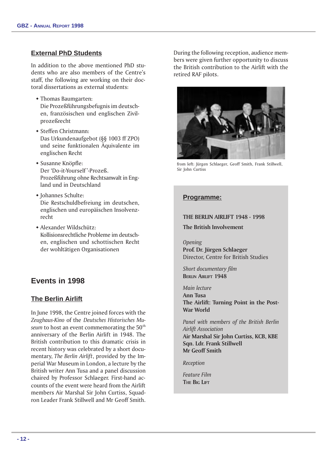## **External PhD Students**

In addition to the above mentioned PhD students who are also members of the Centre's staff, the following are working on their doctoral dissertations as external students:

- Thomas Baumgarten: Die Prozeßführungsbefugnis im deutschen, französischen und englischen Zivilprozeßrecht
- $\bullet$  Steffen Christmann: Das Urkundenaufgebot (§§ 1003 ff ZPO) und seine funktionalen Äquivalente im englischen Recht
- Susanne Knöpfle: Der 'Do-it-Yourself'-Prozeß. Prozeßführung ohne Rechtsanwalt in England und in Deutschland
- Johannes Schulte: Die Restschuldbefreiung im deutschen, englischen und europäischen Insolvenzrecht
- w Alexander Wildschütz: Kollisionsrechtliche Probleme im deutschen, englischen und schottischen Recht der wohltätigen Organisationen

# **Events in 1998**

## **The Berlin Airlift**

In June 1998, the Centre joined forces with the Zeughaus-Kino of the Deutsches Historisches Museum to host an event commemorating the  $50<sup>th</sup>$ anniversary of the Berlin Airlift in 1948. The British contribution to this dramatic crisis in recent history was celebrated by a short documentary, The Berlin Airlift, provided by the Imperial War Museum in London, a lecture by the British writer Ann Tusa and a panel discussion chaired by Professor Schlaeger. First-hand accounts of the event were heard from the Airlift members Air Marshal Sir John Curtiss, Squadron Leader Frank Stillwell and Mr Geoff Smith. During the following reception, audience members were given further opportunity to discuss the British contribution to the Airlift with the retired RAF pilots.



from left: Jürgen Schlaeger, Geoff Smith, Frank Stillwell, Sir John Curtiss

## **Programme:**

## THE BERLIN AIRLIFT 1948 - 1998

The British Involvement

**Opening** Prof. Dr. Jürgen Schlaeger Director, Centre for British Studies

Short documentary film BERLIN AIRLIFT 1948

Main lecture Ann Tusa The Airlift: Turning Point in the Post-War World

Panel with members of the British Berlin Airlift Association Air Marshal Sir John Curtiss, KCB, KBE Sqn. Ldr. Frank Stillwell Mr Geoff Smith

Reception

Feature Film THE BIG LIFT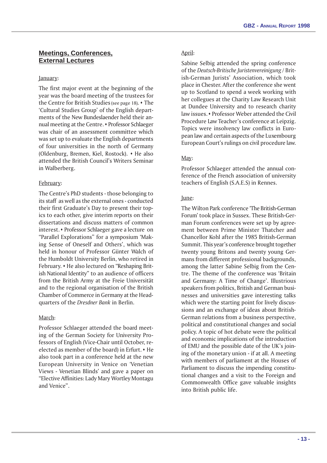## **Meetings, Conferences, External Lectures**

## January:

The first major event at the beginning of the year was the board meeting of the trustees for the Centre for British Studies (see page 18).  $\cdot$  The 'Cultural Studies Group' of the English departments of the New Bundeslaender held their annual meeting at the Centre. • Professor Schlaeger was chair of an assessment committee which was set up to evaluate the English departments of four universities in the north of Germany (Oldenburg, Bremen, Kiel, Rostock).  $\cdot$  He also attended the British Council's Writers Seminar in Walberberg.

## February:

The Centre's PhD students - those belonging to its staff as well as the external ones - conducted their first Graduate's Day to present their topics to each other, give interim reports on their dissertations and discuss matters of common interest. • Professor Schlaeger gave a lecture on "Parallel Explorations" for a symposium 'Making Sense of Oneself and Others', which was held in honour of Professor Günter Walch of the Humboldt University Berlin, who retired in February. • He also lectured on "Reshaping British National Identity" to an audience of officers from the British Army at the Freie Universität and to the regional organisation of the British Chamber of Commerce in Germany at the Headquarters of the Dresdner Bank in Berlin.

## March:

Professor Schlaeger attended the board meeting of the German Society for University Professors of English (Vice-Chair until October, reelected as member of the board) in Erfurt. $\cdot$  He also took part in a conference held at the new European University in Venice on Venetian Views - Venetian Blinds' and gave a paper on Elective Affinities: Lady Mary Wortley Montagu and Venice".

## April:

Sabine Selbig attended the spring conference of the Deutsch-Britische Juristenvereinigung / British-German Jurists' Association, which took place in Chester. After the conference she went up to Scotland to spend a week working with her collegues at the Charity Law Research Unit at Dundee University and to research charity law issues. • Professor Weber attended the Civil Procedure Law Teacher's conference at Leipzig. Topics were insolvency law conflicts in European law and certain aspects of the Luxembourg European Court's rulings on civil procedure law.

## May:

Professor Schlaeger attended the annual conference of the French association of university teachers of English (S.A.E.S) in Rennes.

## June:

The Wilton Park conference The British-German Forum' took place in Sussex. These British-German Forum conferences were set up by agreement between Prime Minister Thatcher and Chancellor Kohl after the 1985 British-German Summit. This year's conference brought together twenty young Britons and twenty young Germans from different professional backgrounds, among the latter Sabine Selbig from the Centre. The theme of the conference was 'Britain and Germany: A Time of Change'. Illustrious speakers from politics, British and German businesses and universities gave interesting talks which were the starting point for lively discussions and an exchange of ideas about British-German relations from a business perspective, political and constitutional changes and social policy. A topic of hot debate were the political and economic implications of the introduction of EMU and the possible date of the UK's joining of the monetary union - if at all. A meeting with members of parliament at the Houses of Parliament to discuss the impending constitutional changes and a visit to the Foreign and Commonwealth Office gave valuable insights into British public life.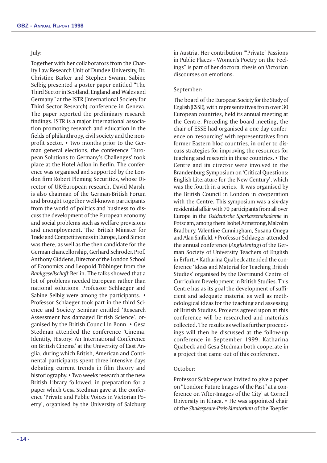#### July:

Together with her collaborators from the Charity Law Research Unit of Dundee University, Dr. Christine Barker and Stephen Swann, Sabine Selbig presented a poster paper entitled "The Third Sector in Scotland, England and Wales and Germany" at the ISTR (International Society for Third Sector Research) conference in Geneva. The paper reported the preliminary research findings. ISTR is a major international association promoting research and education in the fields of philanthropy, civil society and the nonprofit sector.  $\cdot$  Two months prior to the German general elections, the conference 'European Solutions to Germany's Challenges' took place at the Hotel Adlon in Berlin. The conference was organised and supported by the London firm Robert Fleming Securities, whose Director of UK/European research, David Marsh, is also chairman of the German-British Forum and brought together well-known participants from the world of politics and business to discuss the development of the European economy and social problems such as welfare provisions and unemployment. The British Minister for Trade and Competitiveness in Europe, Lord Simon was there, as well as the then candidate for the German chancellorship, Gerhard Schröder, Prof. Anthony Giddens, Director of the London School of Economics and Leopold Tröbinger from the Bankgesellschaft Berlin. The talks showed that a lot of problems needed European rather than national solutions. Professor Schlaeger and Sabine Selbig were among the participants.  $\cdot$ Professor Schlaeger took part in the third Science and Society Seminar entitled 'Research Assessment has damaged British Science', organised by the British Council in Bonn. • Gesa Stedman attended the conference 'Cinema, Identity, History: An International Conference on British Cinema' at the University of East Anglia, during which British, American and Continental participants spent three intensive days debating current trends in film theory and historiography.  $\star$  Two weeks research at the new British Library followed, in preparation for a paper which Gesa Stedman gave at the conference 'Private and Public Voices in Victorian Poetry, organised by the University of Salzburg in Austria. Her contribution "Private' Passions in Public Places - Women's Poetry on the Feelings" is part of her doctoral thesis on Victorian discourses on emotions.

## September:

The board of the European Society for the Study of English (ESSE), with representatives from over 30 European countries, held its annual meeting at the Centre. Preceding the board meeting, the chair of ESSE had organised a one-day conference on 'resourcing' with representatives from former Eastern bloc countries, in order to discuss strategies for improving the resources for teaching and research in these countries.  $\cdot$  The Centre and its director were involved in the Brandenburg Symposium on Critical Questions: English Literature for the New Century, which was the fourth in a series. It was organised by the British Council in London in cooperation with the Centre. This symposium was a six-day residential affair with 70 participants from all over Europe in the Ostdeutsche Sparkassenakademie in Potsdam, among them Isobel Armstrong, Malcolm Bradbury, Valentine Cunningham, Susana Onega and Alan Sinfield. • Professor Schlaeger attended the annual conference (Anglistentag) of the German Society of University Teachers of English in Erfurt. • Katharina Quabeck attended the conference 'Ideas and Material for Teaching British Studies' organised by the Dortmund Centre of Curriculum Development in British Studies. This Centre has as its goal the development of sufficient and adequate material as well as methodological ideas for the teaching and assessing of British Studies. Projects agreed upon at this conference will be researched and materials collected. The results as well as further proceedings will then be discussed at the follow-up conference in September 1999. Katharina Quabeck and Gesa Stedman both cooperate in a project that came out of this conference.

## October:

Professor Schlaeger was invited to give a paper on "London: Future Images of the Past" at a conference on 'After-Images of the City' at Cornell University in Ithaca.  $\cdot$  He was appointed chair of the Shakespeare-Preis-Kuratorium of the Toepfer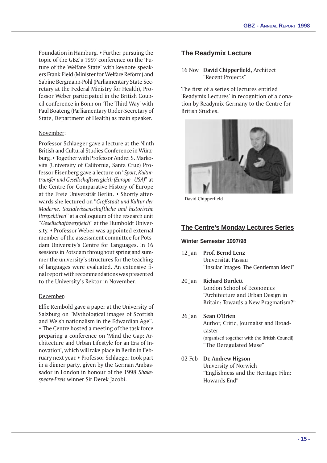Foundation in Hamburg.  $\cdot$  Further pursuing the topic of the GBZ's 1997 conference on the 'Future of the Welfare State' with keynote speakers Frank Field (Minister for Welfare Reform) and Sabine Bergmann-Pohl (Parliamentary State Secretary at the Federal Ministry for Health), Professor Weber participated in the British Council conference in Bonn on The Third Way with Paul Boateng (Parliamentary Under-Secretary of State, Department of Health) as main speaker.

## November:

Professor Schlaeger gave a lecture at the Ninth British and Cultural Studies Conference in Würzburg. • Together with Professor Andrei S. Markovits (University of California, Santa Cruz) Professor Eisenberg gave a lecture on "Sport, Kulturtransfer und Gesellschaftsvergleich (Europa - USA)" at the Centre for Comparative History of Europe at the Freie Universität Berlin. • Shortly afterwards she lectured on "Großstadt und Kultur der Moderne. Sozialwissenschaftliche und historische Perspektiven" at a colloquium of the research unit "Gesellschaftsvergleich" at the Humboldt University. • Professor Weber was appointed external member of the assessment committee for Potsdam University's Centre for Languages. In 16 sessions in Potsdam throughout spring and summer the university's structures for the teaching of languages were evaluated. An extensive final report with recommendations was presented to the University's Rektor in November.

## December:

Elfie Rembold gave a paper at the University of Salzburg on Mythological images of Scottish and Welsh nationalism in the Edwardian Age". • The Centre hosted a meeting of the task force preparing a conference on Mind the Gap: Architecture and Urban Lifestyle for an Era of Innovation', which will take place in Berlin in February next year. • Professor Schlaeger took part in a dinner party, given by the German Ambassador in London in honour of the 1998 Shakespeare-Preis winner Sir Derek Jacobi.

## **The Readymix Lecture**

16 Nov David Chipperfield, Architect "Recent Projects"

The first of a series of lectures entitled 'Readymix Lectures' in recognition of a donation by Readymix Germany to the Centre for British Studies.



David Chipperfield

#### **The Centre's Monday Lectures Series**

#### **Winter Semester 1997/98**

- 12 Jan Prof. Bernd Lenz Universität Passau "Insular Images: The Gentleman Ideal"
- 20 Jan Richard Burdett London School of Economics Architecture and Urban Design in Britain: Towards a New Pragmatism?
- 26 Jan Sean O'Brien Author, Critic, Journalist and Broadcaster (organised together with the British Council) "The Deregulated Muse"
- 02 Feb Dr. Andrew Higson University of Norwich Englishness and the Heritage Film: Howards End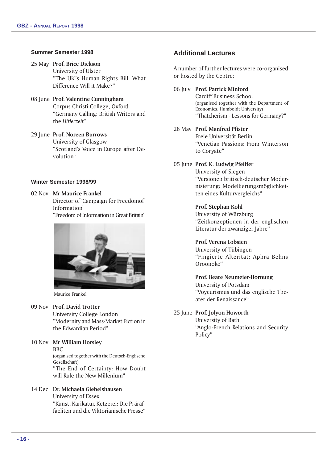## **Summer Semester 1998**

- 25 May Prof. Brice Dickson University of Ulster "The UK's Human Rights Bill: What Difference Will it Make?
- 08 June Prof. Valentine Cunningham Corpus Christi College, Oxford Germany Calling: British Writers and the Hitlerzeit
- 29 June Prof. Noreen Burrows University of Glasgow "Scotland's Voice in Europe after Devolution"

## **Winter Semester 1998/99**

02 Nov Mr Maurice Frankel Director of Campaign for Freedomof Information

Freedom of Information in Great Britain



Maurice Frankel

#### 09 Nov Prof. David Trotter

University College London Modernity and Mass-Market Fiction in the Edwardian Period

10 Nov Mr William Horsley BBC (organised together with the Deutsch-Englische Gesellschaft) The End of Certainty: How Doubt will Rule the New Millenium"

# 14 Dec Dr. Michaela Giebelshausen

University of Essex Kunst, Karikatur, Ketzerei: Die Präraffaeliten und die Viktorianische Presse

## **Additional Lectures**

A number of further lectures were co-organised or hosted by the Centre:

06 July Prof. Patrick Minford, Cardiff Business School (organised together with the Department of Economics, Humboldt University) Thatcherism - Lessons for Germany?

## 28 May Prof. Manfred Pfister

Freie Universität Berlin Venetian Passions: From Winterson to Coryate

05 June Prof. K. Ludwig Pfeiffer University of Siegen Versionen britisch-deutscher Modernisierung: Modellierungsmöglichkeiten eines Kulturvergleichs

## Prof. Stephan Kohl

University of Würzburg Zeitkonzeptionen in der englischen Literatur der zwanziger Jahre"

## Prof. Verena Lobsien

ater der Renaissance

University of Tübingen Fingierte Alterität: Aphra Behns Oroonoko

Prof. Beate Neumeier-Hornung University of Potsdam Voyeurismus und das englische The-

## 25 June Prof. Jolyon Howorth

University of Bath Anglo-French Relations and Security Policy"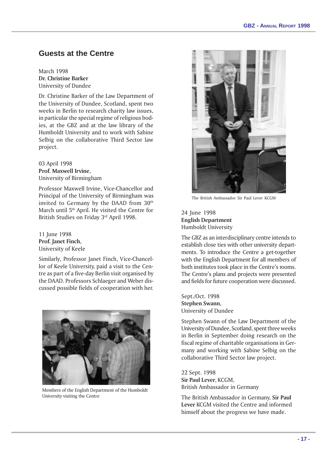# **Guests at the Centre**

March 1998 Dr. Christine Barker University of Dundee

Dr. Christine Barker of the Law Department of the University of Dundee, Scotland, spent two weeks in Berlin to research charity law issues, in particular the special regime of religious bodies, at the GBZ and at the law library of the Humboldt University and to work with Sabine Selbig on the collaborative Third Sector law project.

03 April 1998 Prof. Maxwell Irvine, University of Birmingham

Professor Maxwell Irvine, Vice-Chancellor and Principal of the University of Birmingham was invited to Germany by the DAAD from  $30<sup>th</sup>$ March until 5th April. He visited the Centre for British Studies on Friday 3rd April 1998.

11 June 1998 Prof. Janet Finch, University of Keele

Similarly, Professor Janet Finch, Vice-Chancellor of Keele University, paid a visit to the Centre as part of a five-day Berlin visit organised by the DAAD. Professors Schlaeger and Weber discussed possible fields of cooperation with her.



Members of the English Department of the Humboldt University visiting the Centre



The British Ambassador Sir Paul Lever KCGM

24 June 1998 English Department Humboldt University

The GBZ as an interdisciplinary centre intends to establish close ties with other university departments. To introduce the Centre a get-together with the English Department for all members of both institutes took place in the Centre's rooms. The Centre's plans and projects were presented and fields for future cooperation were discussed.

Sept./Oct. 1998 Stephen Swann, University of Dundee

Stephen Swann of the Law Department of the University of Dundee, Scotland, spent three weeks in Berlin in September doing research on the fiscal regime of charitable organisations in Germany and working with Sabine Selbig on the collaborative Third Sector law project.

22 Sept. 1998 Sir Paul Lever, KCGM, British Ambassador in Germany

The British Ambassador in Germany, Sir Paul Lever KCGM visited the Centre and informed himself about the progress we have made.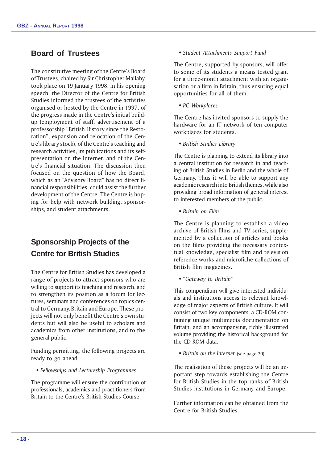# **Board of Trustees**

The constitutive meeting of the Centre's Board of Trustees, chaired by Sir Christopher Mallaby, took place on 19 January 1998. In his opening speech, the Director of the Centre for British Studies informed the trustees of the activities organised or hosted by the Centre in 1997, of the progress made in the Centre's initial buildup (employment of staff, advertisement of a professorship "British History since the Restoration", expansion and relocation of the Centre's library stock), of the Centre's teaching and research activities, its publications and its selfpresentation on the Internet, and of the Centre's financial situation. The discussion then focused on the question of how the Board, which as an "Advisory Board" has no direct financial responsibilities, could assist the further development of the Centre. The Centre is hoping for help with network building, sponsorships, and student attachments.

# **Sponsorship Projects of the Centre for British Studies**

The Centre for British Studies has developed a range of projects to attract sponsors who are willing to support its teaching and research, and to strengthen its position as a forum for lectures, seminars and conferences on topics central to Germany, Britain and Europe. These projects will not only benefit the Centre's own students but will also be useful to scholars and academics from other institutions, and to the general public.

Funding permitting, the following projects are ready to go ahead:

w Fellowships and Lectureship Programmes

The programme will ensure the contribution of professionals, academics and practitioners from Britain to the Centre's British Studies Course.

#### • Student Attachments Support Fund

The Centre, supported by sponsors, will offer to some of its students a means tested grant for a three-month attachment with an organisation or a firm in Britain, thus ensuring equal opportunities for all of them.

 $\triangleleft PC$  Workplaces

The Centre has invited sponsors to supply the hardware for an IT network of ten computer workplaces for students.

**\* British Studies Library** 

The Centre is planning to extend its library into a central institution for research in and teaching of British Studies in Berlin and the whole of Germany. Thus it will be able to support any academic research into British themes, while also providing broad information of general interest to interested members of the public.

 $\bullet$  Britain on Film

The Centre is planning to establish a video archive of British films and TV series, supplemented by a collection of articles and books on the films providing the necessary contextual knowledge, specialist film and television reference works and microfiche collections of British film magazines.

• "Gateway to Britain"

This compendium will give interested individuals and institutions access to relevant knowledge of major aspects of British culture. It will consist of two key components: a CD-ROM containing unique multimedia documentation on Britain, and an accompanying, richly illustrated volume providing the historical background for the CD-ROM data.

• Britain on the Internet (see page 20)

The realisation of these projects will be an important step towards establishing the Centre for British Studies in the top ranks of British Studies institutions in Germany and Europe.

Further information can be obtained from the Centre for British Studies.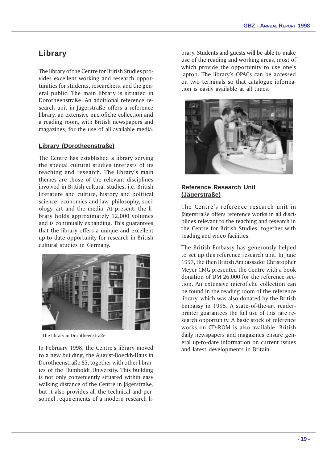# **Library**

The library of the Centre for British Studies provides excellent working and research opportunities for students, researchers, and the general public. The main library is situated in Dorotheenstraße. An additional reference research unit in Jägerstraße offers a reference library, an extensive microfiche collection and a reading room, with British newspapers and magazines, for the use of all available media.

## **Library (Dorotheenstraße)**

The Centre has established a library serving the special cultural studies interests of its teaching and research. The library's main themes are those of the relevant disciplines involved in British cultural studies, i.e. British literature and culture, history and political science, economics and law, philosophy, sociology, art and the media. At present, the library holds approximately 12,000 volumes and is continually expanding. This guarantees that the library offers a unique and excellent up-to-date opportunity for research in British cultural studies in Germany.



The library in Dorotheenstraße

In February 1998, the Centre's library moved to a new building, the August-Boeckh-Haus in Dorotheenstraße 65, together with other libraries of the Humboldt University. This building is not only conveniently situated within easy walking distance of the Centre in Jägerstraße, but it also provides all the technical and personnel requirements of a modern research library. Students and guests will be able to make use of the reading and working areas, most of which provide the opportunity to use one's laptop. The library's OPACs can be accessed on two terminals so that catalogue information is easily available at all times.



## **Reference Research Unit (Jägerstraße)**

The Centre's reference research unit in Jägerstraße offers reference works in all disciplines relevant to the teaching and research in the Centre for British Studies, together with reading and video facilities.

The British Embassy has generously helped to set up this reference research unit. In June 1997, the then British Ambassador Christopher Meyer CMG presented the Centre with a book donation of DM 26,000 for the reference section. An extensive microfiche collection can be found in the reading room of the reference library, which was also donated by the British Embassy in 1995. A state-of-the-art readerprinter guarantees the full use of this rare research opportunity. A basic stock of reference works on CD-ROM is also available. British daily newspapers and magazines ensure general up-to-date information on current issues and latest developments in Britain.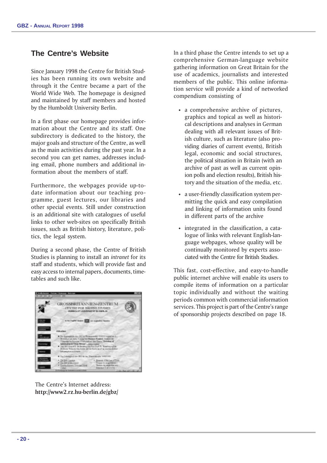# **The Centre's Website**

Since January 1998 the Centre for British Studies has been running its own website and through it the Centre became a part of the World Wide Web. The homepage is designed and maintained by staff members and hosted by the Humboldt University Berlin.

In a first phase our homepage provides information about the Centre and its staff. One subdirectory is dedicated to the history, the major goals and structure of the Centre, as well as the main activities during the past year. In a second you can get names, addresses including email, phone numbers and additional information about the members of staff.

Furthermore, the webpages provide up-todate information about our teaching programme, guest lectures, our libraries and other special events. Still under construction is an additional site with catalogues of useful links to other web-sites on specifically British issues, such as British history, literature, politics, the legal system.

During a second phase, the Centre of British Studies is planning to install an intranet for its staff and students, which will provide fast and easy access to internal papers, documents, timetables and such like.



The Centre's Internet address: http://www2.rz.hu-berlin.de/gbz/

In a third phase the Centre intends to set up a comprehensive German-language website gathering information on Great Britain for the use of academics, journalists and interested members of the public. This online information service will provide a kind of networked compendium consisting of

- $\bullet$  a comprehensive archive of pictures, graphics and topical as well as historical descriptions and analyses in German dealing with all relevant issues of British culture, such as literature (also providing diaries of current events), British legal, economic and social structures, the political situation in Britain (with an archive of past as well as current opinion polls and election results), British history and the situation of the media, etc.
- $\bullet$  a user-friendly classification system permitting the quick and easy compilation and linking of information units found in different parts of the archive
- $\cdot$  integrated in the classification, a catalogue of links with relevant English-language webpages, whose quality will be continually monitored by experts associated with the Centre for British Studies.

This fast, cost-effective, and easy-to-handle public internet archive will enable its users to compile items of information on a particular topic individually and without the waiting periods common with commercial information services. This project is part of the Centre's range of sponsorship projects described on page 18.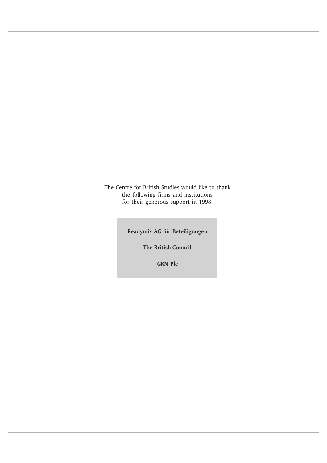The Centre for British Studies would like to thank the following firms and institutions for their generous support in 1998:

Readymix AG für Beteiligungen

The British Council

GKN Plc